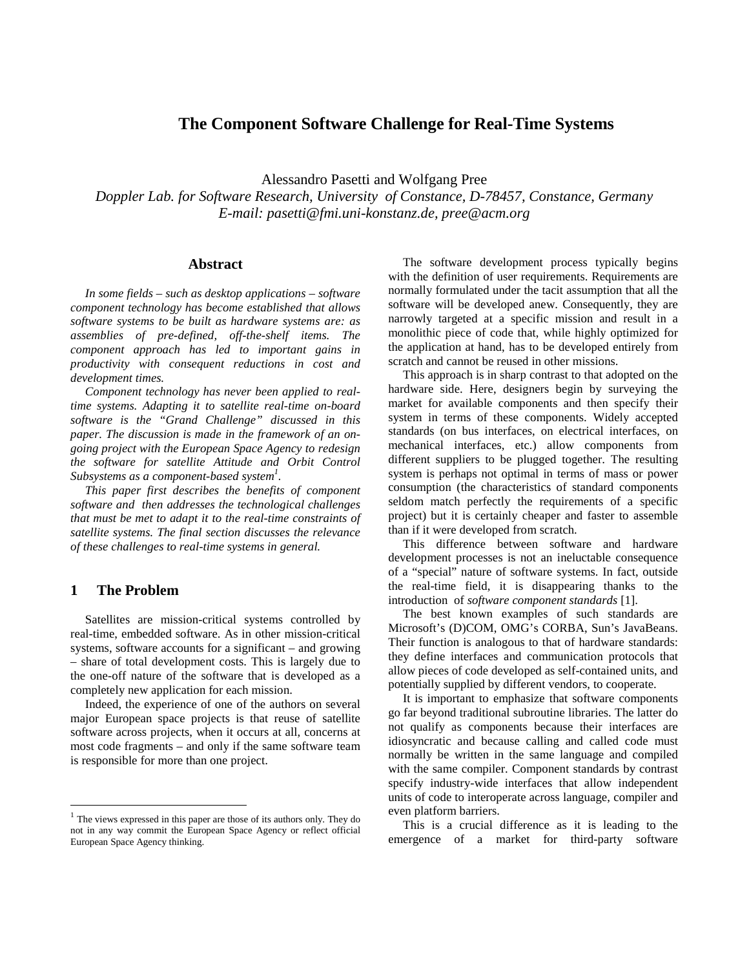# **The Component Software Challenge for Real-Time Systems**

Alessandro Pasetti and Wolfgang Pree

*Doppler Lab. for Software Research, University of Constance, D-78457, Constance, Germany E-mail: pasetti@fmi.uni-konstanz.de, pree@acm.org*

## **Abstract**

*In some fields – such as desktop applications – software component technology has become established that allows software systems to be built as hardware systems are: as assemblies of pre-defined, off-the-shelf items. The component approach has led to important gains in productivity with consequent reductions in cost and development times.*

*Component technology has never been applied to realtime systems. Adapting it to satellite real-time on-board software is the "Grand Challenge" discussed in this paper. The discussion is made in the framework of an ongoing project with the European Space Agency to redesign the software for satellite Attitude and Orbit Control Subsystems as a component-based system 1 .*

*This paper first describes the benefits of component software and then addresses the technological challenges that must be met to adapt it to the real-time constraints of satellite systems. The final section discusses the relevance of these challenges to real-time systems in general.*

## **1 The Problem**

<u>.</u>

Satellites are mission-critical systems controlled by real-time, embedded software. As in other mission-critical systems, software accounts for a significant – and growing – share of total development costs. This is largely due to the one-off nature of the software that is developed as a completely new application for each mission.

Indeed, the experience of one of the authors on several major European space projects is that reuse of satellite software across projects, when it occurs at all, concerns at most code fragments – and only if the same software team is responsible for more than one project.

The software development process typically begins with the definition of user requirements. Requirements are normally formulated under the tacit assumption that all the software will be developed anew. Consequently, they are narrowly targeted at a specific mission and result in a monolithic piece of code that, while highly optimized for the application at hand, has to be developed entirely from scratch and cannot be reused in other missions.

This approach is in sharp contrast to that adopted on the hardware side. Here, designers begin by surveying the market for available components and then specify their system in terms of these components. Widely accepted standards (on bus interfaces, on electrical interfaces, on mechanical interfaces, etc.) allow components from different suppliers to be plugged together. The resulting system is perhaps not optimal in terms of mass or power consumption (the characteristics of standard components seldom match perfectly the requirements of a specific project) but it is certainly cheaper and faster to assemble than if it were developed from scratch.

This difference between software and hardware development processes is not an ineluctable consequence of a "special" nature of software systems. In fact, outside the real-time field, it is disappearing thanks to the introduction of *software component standards* [1].

The best known examples of such standards are Microsoft's (D)COM, OMG's CORBA, Sun's JavaBeans. Their function is analogous to that of hardware standards: they define interfaces and communication protocols that allow pieces of code developed as self-contained units, and potentially supplied by different vendors, to cooperate.

It is important to emphasize that software components go far beyond traditional subroutine libraries. The latter do not qualify as components because their interfaces are idiosyncratic and because calling and called code must normally be written in the same language and compiled with the same compiler. Component standards by contrast specify industry-wide interfaces that allow independent units of code to interoperate across language, compiler and even platform barriers.

This is a crucial difference as it is leading to the emergence of a market for third-party software

<sup>&</sup>lt;sup>1</sup> The views expressed in this paper are those of its authors only. They do not in any way commit the European Space Agency or reflect official European Space Agency thinking.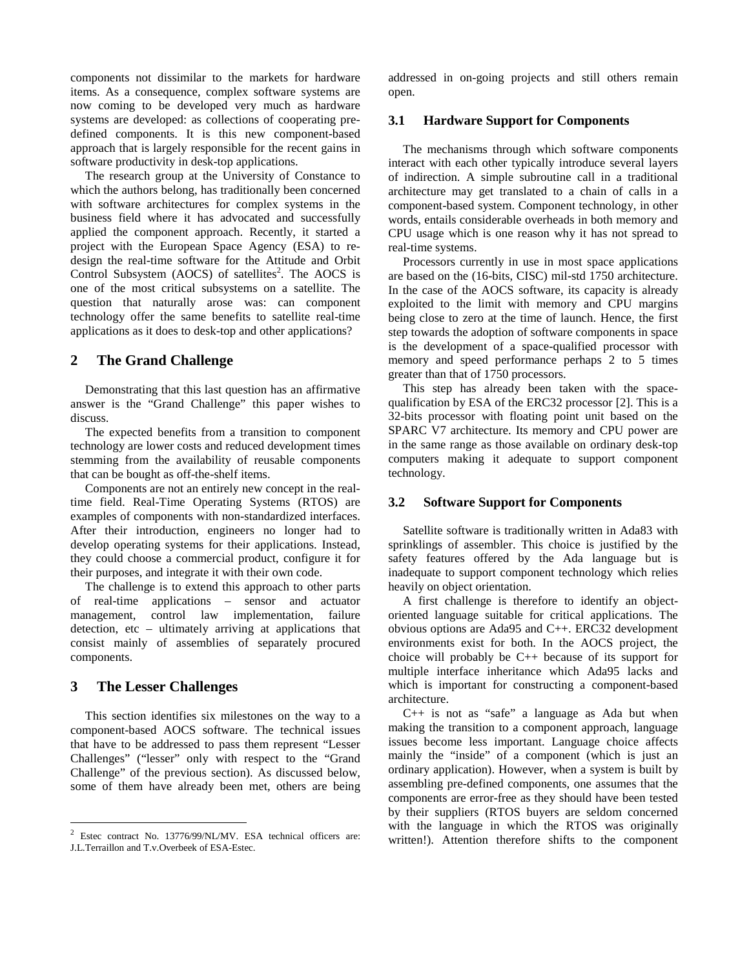components not dissimilar to the markets for hardware items. As a consequence, complex software systems are now coming to be developed very much as hardware systems are developed: as collections of cooperating predefined components. It is this new component-based approach that is largely responsible for the recent gains in software productivity in desk-top applications.

The research group at the University of Constance to which the authors belong, has traditionally been concerned with software architectures for complex systems in the business field where it has advocated and successfully applied the component approach. Recently, it started a project with the European Space Agency (ESA) to redesign the real-time software for the Attitude and Orbit Control Subsystem (AOCS) of satellites<sup>2</sup>. The AOCS is one of the most critical subsystems on a satellite. The question that naturally arose was: can component technology offer the same benefits to satellite real-time applications as it does to desk-top and other applications?

### **2 The Grand Challenge**

Demonstrating that this last question has an affirmative answer is the "Grand Challenge" this paper wishes to discuss.

The expected benefits from a transition to component technology are lower costs and reduced development times stemming from the availability of reusable components that can be bought as off-the-shelf items.

Components are not an entirely new concept in the realtime field. Real-Time Operating Systems (RTOS) are examples of components with non-standardized interfaces. After their introduction, engineers no longer had to develop operating systems for their applications. Instead, they could choose a commercial product, configure it for their purposes, and integrate it with their own code.

The challenge is to extend this approach to other parts of real-time applications – sensor and actuator management, control law implementation, failure detection, etc – ultimately arriving at applications that consist mainly of assemblies of separately procured components.

# **3 The Lesser Challenges**

-

This section identifies six milestones on the way to a component-based AOCS software. The technical issues that have to be addressed to pass them represent "Lesser Challenges" ("lesser" only with respect to the "Grand Challenge" of the previous section). As discussed below, some of them have already been met, others are being addressed in on-going projects and still others remain open.

#### **3.1 Hardware Support for Components**

The mechanisms through which software components interact with each other typically introduce several layers of indirection. A simple subroutine call in a traditional architecture may get translated to a chain of calls in a component-based system. Component technology, in other words, entails considerable overheads in both memory and CPU usage which is one reason why it has not spread to real-time systems.

Processors currently in use in most space applications are based on the (16-bits, CISC) mil-std 1750 architecture. In the case of the AOCS software, its capacity is already exploited to the limit with memory and CPU margins being close to zero at the time of launch. Hence, the first step towards the adoption of software components in space is the development of a space-qualified processor with memory and speed performance perhaps 2 to 5 times greater than that of 1750 processors.

This step has already been taken with the spacequalification by ESA of the ERC32 processor [2]. This is a 32-bits processor with floating point unit based on the SPARC V7 architecture. Its memory and CPU power are in the same range as those available on ordinary desk-top computers making it adequate to support component technology.

#### **3.2 Software Support for Components**

Satellite software is traditionally written in Ada83 with sprinklings of assembler. This choice is justified by the safety features offered by the Ada language but is inadequate to support component technology which relies heavily on object orientation.

A first challenge is therefore to identify an objectoriented language suitable for critical applications. The obvious options are Ada95 and C++. ERC32 development environments exist for both. In the AOCS project, the choice will probably be C++ because of its support for multiple interface inheritance which Ada95 lacks and which is important for constructing a component-based architecture.

C++ is not as "safe" a language as Ada but when making the transition to a component approach, language issues become less important. Language choice affects mainly the "inside" of a component (which is just an ordinary application). However, when a system is built by assembling pre-defined components, one assumes that the components are error-free as they should have been tested by their suppliers (RTOS buyers are seldom concerned with the language in which the RTOS was originally written!). Attention therefore shifts to the component

 $2$  Estec contract No. 13776/99/NL/MV. ESA technical officers are: J.L.Terraillon and T.v.Overbeek of ESA-Estec.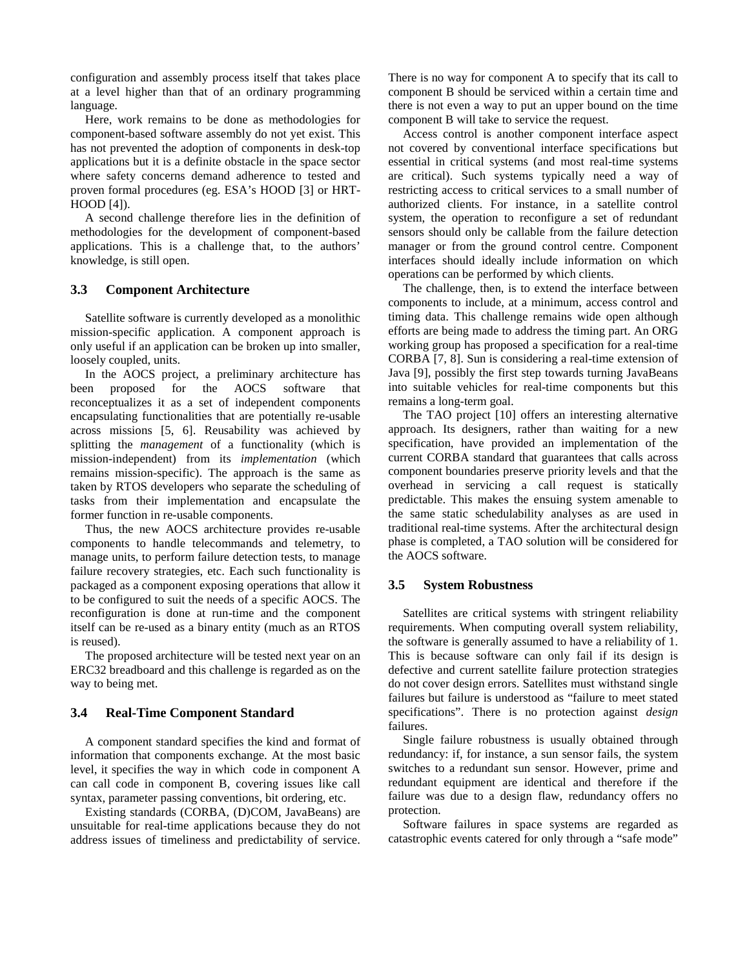configuration and assembly process itself that takes place at a level higher than that of an ordinary programming language.

Here, work remains to be done as methodologies for component-based software assembly do not yet exist. This has not prevented the adoption of components in desk-top applications but it is a definite obstacle in the space sector where safety concerns demand adherence to tested and proven formal procedures (eg. ESA's HOOD [3] or HRT-HOOD [4]).

A second challenge therefore lies in the definition of methodologies for the development of component-based applications. This is a challenge that, to the authors' knowledge, is still open.

#### **3.3 Component Architecture**

Satellite software is currently developed as a monolithic mission-specific application. A component approach is only useful if an application can be broken up into smaller, loosely coupled, units.

In the AOCS project, a preliminary architecture has been proposed for the AOCS software that reconceptualizes it as a set of independent components encapsulating functionalities that are potentially re-usable across missions [5, 6]. Reusability was achieved by splitting the *management* of a functionality (which is mission-independent) from its *implementation* (which remains mission-specific). The approach is the same as taken by RTOS developers who separate the scheduling of tasks from their implementation and encapsulate the former function in re-usable components.

Thus, the new AOCS architecture provides re-usable components to handle telecommands and telemetry, to manage units, to perform failure detection tests, to manage failure recovery strategies, etc. Each such functionality is packaged as a component exposing operations that allow it to be configured to suit the needs of a specific AOCS. The reconfiguration is done at run-time and the component itself can be re-used as a binary entity (much as an RTOS is reused).

The proposed architecture will be tested next year on an ERC32 breadboard and this challenge is regarded as on the way to being met.

# **3.4 Real-Time Component Standard**

A component standard specifies the kind and format of information that components exchange. At the most basic level, it specifies the way in which code in component A can call code in component B, covering issues like call syntax, parameter passing conventions, bit ordering, etc.

Existing standards (CORBA, (D)COM, JavaBeans) are unsuitable for real-time applications because they do not address issues of timeliness and predictability of service. There is no way for component A to specify that its call to component B should be serviced within a certain time and there is not even a way to put an upper bound on the time component B will take to service the request.

Access control is another component interface aspect not covered by conventional interface specifications but essential in critical systems (and most real-time systems are critical). Such systems typically need a way of restricting access to critical services to a small number of authorized clients. For instance, in a satellite control system, the operation to reconfigure a set of redundant sensors should only be callable from the failure detection manager or from the ground control centre. Component interfaces should ideally include information on which operations can be performed by which clients.

The challenge, then, is to extend the interface between components to include, at a minimum, access control and timing data. This challenge remains wide open although efforts are being made to address the timing part. An ORG working group has proposed a specification for a real-time CORBA [7, 8]. Sun is considering a real-time extension of Java [9], possibly the first step towards turning JavaBeans into suitable vehicles for real-time components but this remains a long-term goal.

The TAO project [10] offers an interesting alternative approach. Its designers, rather than waiting for a new specification, have provided an implementation of the current CORBA standard that guarantees that calls across component boundaries preserve priority levels and that the overhead in servicing a call request is statically predictable. This makes the ensuing system amenable to the same static schedulability analyses as are used in traditional real-time systems. After the architectural design phase is completed, a TAO solution will be considered for the AOCS software.

#### **3.5 System Robustness**

Satellites are critical systems with stringent reliability requirements. When computing overall system reliability, the software is generally assumed to have a reliability of 1. This is because software can only fail if its design is defective and current satellite failure protection strategies do not cover design errors. Satellites must withstand single failures but failure is understood as "failure to meet stated specifications". There is no protection against *design* failures.

Single failure robustness is usually obtained through redundancy: if, for instance, a sun sensor fails, the system switches to a redundant sun sensor. However, prime and redundant equipment are identical and therefore if the failure was due to a design flaw, redundancy offers no protection.

Software failures in space systems are regarded as catastrophic events catered for only through a "safe mode"